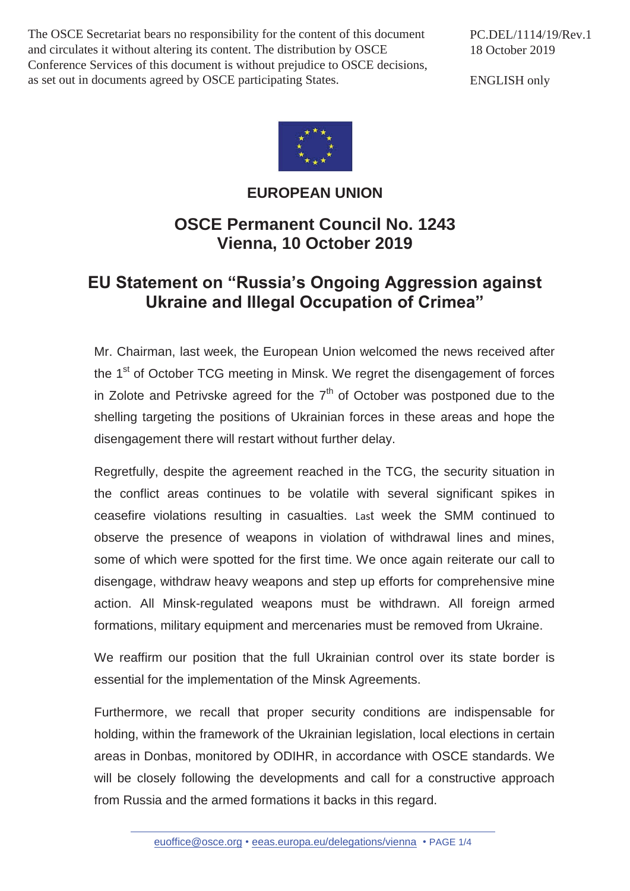The OSCE Secretariat bears no responsibility for the content of this document and circulates it without altering its content. The distribution by OSCE Conference Services of this document is without prejudice to OSCE decisions, as set out in documents agreed by OSCE participating States.

PC.DEL/1114/19/Rev.1 18 October 2019

ENGLISH only



## **EUROPEAN UNION**

## **OSCE Permanent Council No. 1243 Vienna, 10 October 2019**

## **EU Statement on "Russia's Ongoing Aggression against Ukraine and Illegal Occupation of Crimea"**

Mr. Chairman, last week, the European Union welcomed the news received after the 1<sup>st</sup> of October TCG meeting in Minsk. We regret the disengagement of forces in Zolote and Petrivske agreed for the  $7<sup>th</sup>$  of October was postponed due to the shelling targeting the positions of Ukrainian forces in these areas and hope the disengagement there will restart without further delay.

Regretfully, despite the agreement reached in the TCG, the security situation in the conflict areas continues to be volatile with several significant spikes in ceasefire violations resulting in casualties. Last week the SMM continued to observe the presence of weapons in violation of withdrawal lines and mines, some of which were spotted for the first time. We once again reiterate our call to disengage, withdraw heavy weapons and step up efforts for comprehensive mine action. All Minsk-regulated weapons must be withdrawn. All foreign armed formations, military equipment and mercenaries must be removed from Ukraine.

We reaffirm our position that the full Ukrainian control over its state border is essential for the implementation of the Minsk Agreements.

Furthermore, we recall that proper security conditions are indispensable for holding, within the framework of the Ukrainian legislation, local elections in certain areas in Donbas, monitored by ODIHR, in accordance with OSCE standards. We will be closely following the developments and call for a constructive approach from Russia and the armed formations it backs in this regard.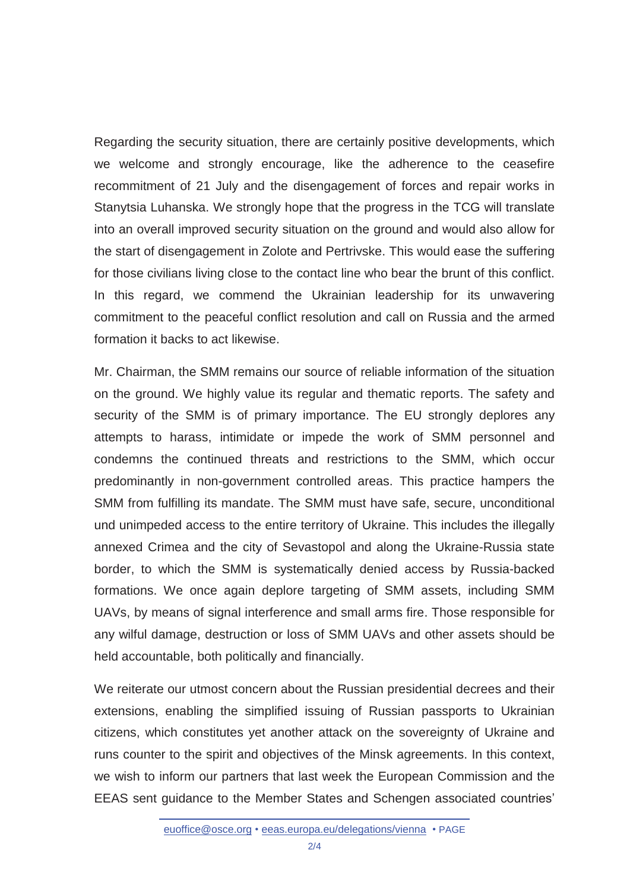Regarding the security situation, there are certainly positive developments, which we welcome and strongly encourage, like the adherence to the ceasefire recommitment of 21 July and the disengagement of forces and repair works in Stanytsia Luhanska. We strongly hope that the progress in the TCG will translate into an overall improved security situation on the ground and would also allow for the start of disengagement in Zolote and Pertrivske. This would ease the suffering for those civilians living close to the contact line who bear the brunt of this conflict. In this regard, we commend the Ukrainian leadership for its unwavering commitment to the peaceful conflict resolution and call on Russia and the armed formation it backs to act likewise.

Mr. Chairman, the SMM remains our source of reliable information of the situation on the ground. We highly value its regular and thematic reports. The safety and security of the SMM is of primary importance. The EU strongly deplores any attempts to harass, intimidate or impede the work of SMM personnel and condemns the continued threats and restrictions to the SMM, which occur predominantly in non-government controlled areas. This practice hampers the SMM from fulfilling its mandate. The SMM must have safe, secure, unconditional und unimpeded access to the entire territory of Ukraine. This includes the illegally annexed Crimea and the city of Sevastopol and along the Ukraine-Russia state border, to which the SMM is systematically denied access by Russia-backed formations. We once again deplore targeting of SMM assets, including SMM UAVs, by means of signal interference and small arms fire. Those responsible for any wilful damage, destruction or loss of SMM UAVs and other assets should be held accountable, both politically and financially.

We reiterate our utmost concern about the Russian presidential decrees and their extensions, enabling the simplified issuing of Russian passports to Ukrainian citizens, which constitutes yet another attack on the sovereignty of Ukraine and runs counter to the spirit and objectives of the Minsk agreements. In this context, we wish to inform our partners that last week the European Commission and the EEAS sent guidance to the Member States and Schengen associated countries'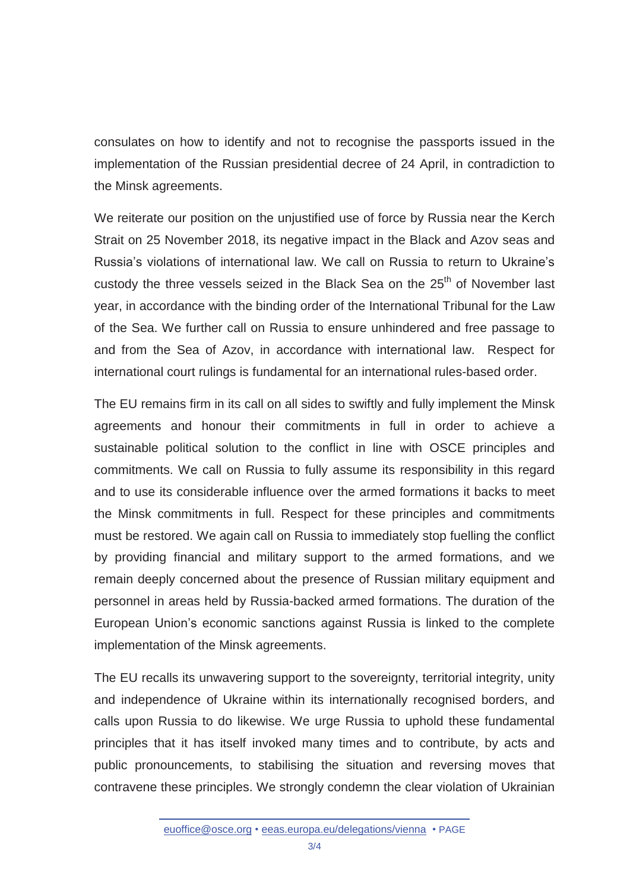consulates on how to identify and not to recognise the passports issued in the implementation of the Russian presidential decree of 24 April, in contradiction to the Minsk agreements.

We reiterate our position on the unjustified use of force by Russia near the Kerch Strait on 25 November 2018, its negative impact in the Black and Azov seas and Russia's violations of international law. We call on Russia to return to Ukraine's custody the three vessels seized in the Black Sea on the 25<sup>th</sup> of November last year, in accordance with the binding order of the International Tribunal for the Law of the Sea. We further call on Russia to ensure unhindered and free passage to and from the Sea of Azov, in accordance with international law. Respect for international court rulings is fundamental for an international rules-based order.

The EU remains firm in its call on all sides to swiftly and fully implement the Minsk agreements and honour their commitments in full in order to achieve a sustainable political solution to the conflict in line with OSCE principles and commitments. We call on Russia to fully assume its responsibility in this regard and to use its considerable influence over the armed formations it backs to meet the Minsk commitments in full. Respect for these principles and commitments must be restored. We again call on Russia to immediately stop fuelling the conflict by providing financial and military support to the armed formations, and we remain deeply concerned about the presence of Russian military equipment and personnel in areas held by Russia-backed armed formations. The duration of the European Union's economic sanctions against Russia is linked to the complete implementation of the Minsk agreements.

The EU recalls its unwavering support to the sovereignty, territorial integrity, unity and independence of Ukraine within its internationally recognised borders, and calls upon Russia to do likewise. We urge Russia to uphold these fundamental principles that it has itself invoked many times and to contribute, by acts and public pronouncements, to stabilising the situation and reversing moves that contravene these principles. We strongly condemn the clear violation of Ukrainian